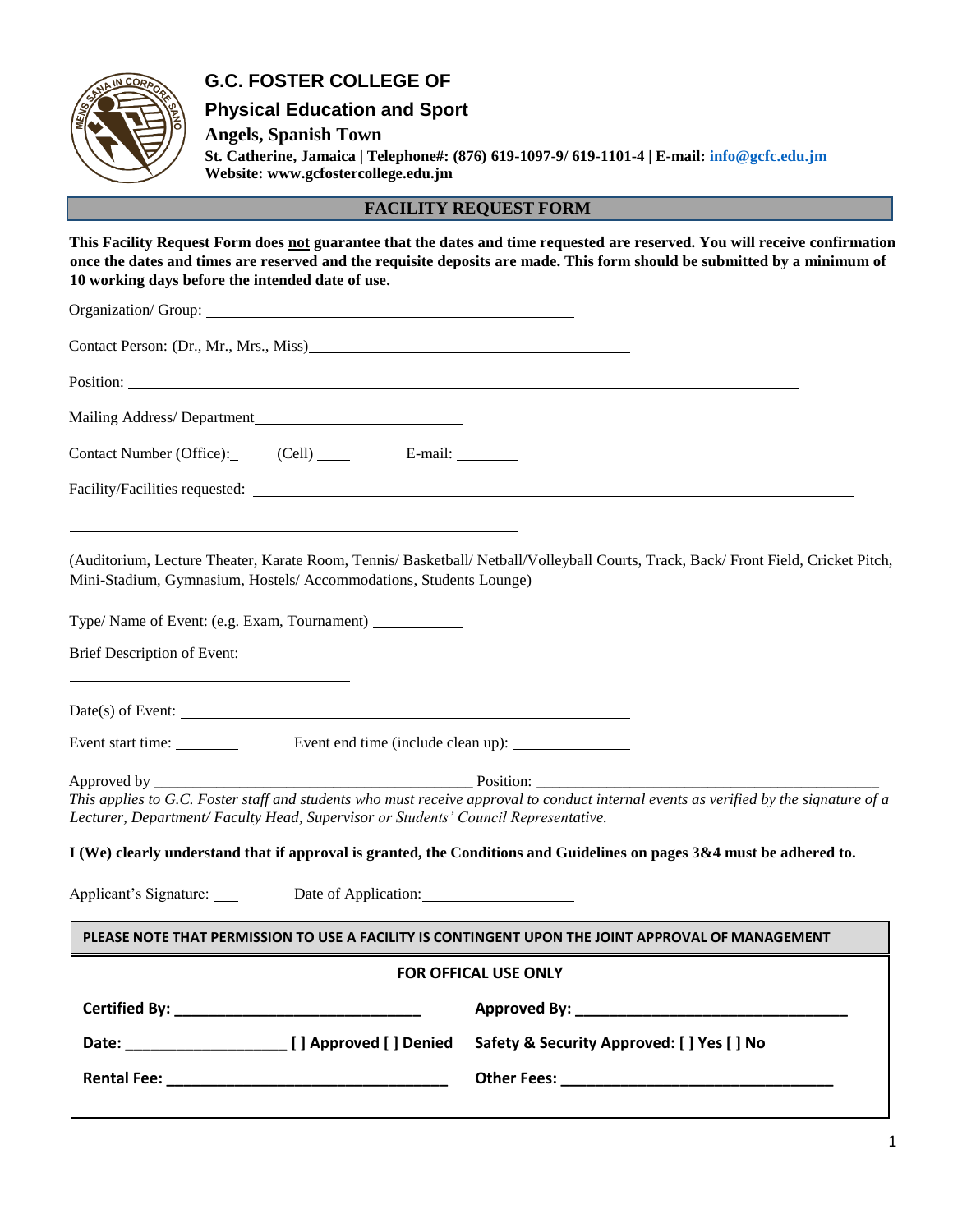## **G.C. FOSTER COLLEGE OF**

### **Physical Education and Sport**

**Angels, Spanish Town** 

**St. Catherine, Jamaica | Telephone#: (876) 619-1097-9/ 619-1101-4 | E-mail: info@gcfc.edu.jm Website: www.gcfostercollege.edu.jm**

**FACILITY REQUEST FORM** 

**This Facility Request Form does not guarantee that the dates and time requested are reserved. You will receive confirmation once the dates and times are reserved and the requisite deposits are made. This form should be submitted by a minimum of 10 working days before the intended date of use.** 

| Contact Person: (Dr., Mr., Mrs., Miss)                                                                                                                                                                                      |                                            |
|-----------------------------------------------------------------------------------------------------------------------------------------------------------------------------------------------------------------------------|--------------------------------------------|
| Position:                                                                                                                                                                                                                   |                                            |
|                                                                                                                                                                                                                             |                                            |
|                                                                                                                                                                                                                             |                                            |
|                                                                                                                                                                                                                             |                                            |
| (Auditorium, Lecture Theater, Karate Room, Tennis/ Basketball/ Netball/Volleyball Courts, Track, Back/Front Field, Cricket Pitch,<br>Mini-Stadium, Gymnasium, Hostels/Accommodations, Students Lounge)                      |                                            |
| Type/ Name of Event: (e.g. Exam, Tournament)                                                                                                                                                                                |                                            |
|                                                                                                                                                                                                                             |                                            |
|                                                                                                                                                                                                                             |                                            |
|                                                                                                                                                                                                                             |                                            |
| This applies to G.C. Foster staff and students who must receive approval to conduct internal events as verified by the signature of a<br>Lecturer, Department/Faculty Head, Supervisor or Students' Council Representative. |                                            |
| I (We) clearly understand that if approval is granted, the Conditions and Guidelines on pages 3&4 must be adhered to.                                                                                                       |                                            |
| Applicant's Signature: Date of Application: 2001                                                                                                                                                                            |                                            |
| PLEASE NOTE THAT PERMISSION TO USE A FACILITY IS CONTINGENT UPON THE JOINT APPROVAL OF MANAGEMENT                                                                                                                           |                                            |
| <b>FOR OFFICAL USE ONLY</b>                                                                                                                                                                                                 |                                            |
|                                                                                                                                                                                                                             |                                            |
|                                                                                                                                                                                                                             | Safety & Security Approved: [ ] Yes [ ] No |
|                                                                                                                                                                                                                             |                                            |
|                                                                                                                                                                                                                             |                                            |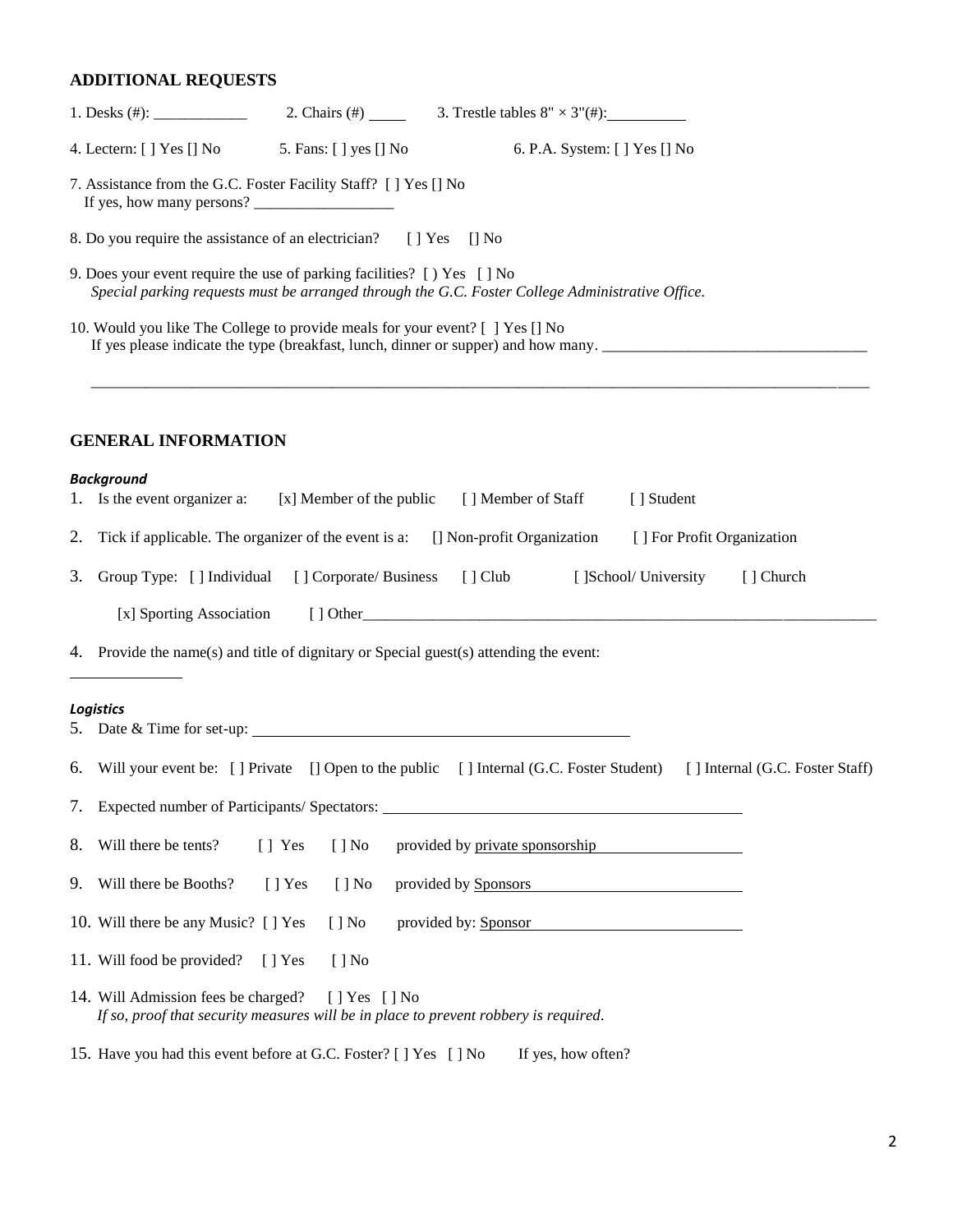## **ADDITIONAL REQUESTS**

|    | 5. Fans: [ ] yes [] No<br>4. Lectern: $[ \ ]$ Yes $[ ]$ No<br>6. P.A. System: [ ] Yes [] No                                                                                  |  |
|----|------------------------------------------------------------------------------------------------------------------------------------------------------------------------------|--|
|    | 7. Assistance from the G.C. Foster Facility Staff? [ ] Yes [] No<br>If yes, how many persons?                                                                                |  |
|    | 8. Do you require the assistance of an electrician? [] Yes [] No                                                                                                             |  |
|    | 9. Does your event require the use of parking facilities? [ ) Yes [ ] No<br>Special parking requests must be arranged through the G.C. Foster College Administrative Office. |  |
|    | 10. Would you like The College to provide meals for your event? [ ] Yes [] No<br>If yes please indicate the type (breakfast, lunch, dinner or supper) and how many.          |  |
|    | <b>GENERAL INFORMATION</b>                                                                                                                                                   |  |
|    | <b>Background</b>                                                                                                                                                            |  |
|    | 1. Is the event organizer a:<br>[ ] Member of Staff<br>[x] Member of the public<br>[ ] Student                                                                               |  |
| 2. | Tick if applicable. The organizer of the event is a: [] Non-profit Organization<br>[] For Profit Organization                                                                |  |
| 3. | Group Type: [] Individual [] Corporate/ Business<br>[] Club [] School/ University<br>[ ] Church                                                                              |  |
|    | [x] Sporting Association                                                                                                                                                     |  |
|    | 4. Provide the name(s) and title of dignitary or Special guest(s) attending the event:                                                                                       |  |
|    | Logistics                                                                                                                                                                    |  |
|    | 5. Date & Time for set-up:                                                                                                                                                   |  |
|    | 6. Will your event be: [] Private [] Open to the public [] Internal (G.C. Foster Student) [] Internal (G.C. Foster Staff)                                                    |  |
|    | 7. Expected number of Participants/ Spectators: ________________________________                                                                                             |  |
| 8. | Will there be tents?<br>[] Yes<br>$[ ]$ No<br>provided by private sponsorship                                                                                                |  |
| 9. | Will there be Booths?<br>$[ ]$ Yes<br>$[ ]$ No<br>provided by Sponsors                                                                                                       |  |
|    | 10. Will there be any Music? [ ] Yes<br>$[ ]$ No<br>provided by: Sponsor<br>the control of the control of the control of the control of the control of the control of        |  |
|    | 11. Will food be provided?<br>$[ ]$ No<br>$[$   Yes                                                                                                                          |  |
|    | 14. Will Admission fees be charged?<br>$[$   Yes $[$   No<br>If so, proof that security measures will be in place to prevent robbery is required.                            |  |
|    | 15. Have you had this event before at G.C. Foster? [ ] Yes [ ] No<br>If yes, how often?                                                                                      |  |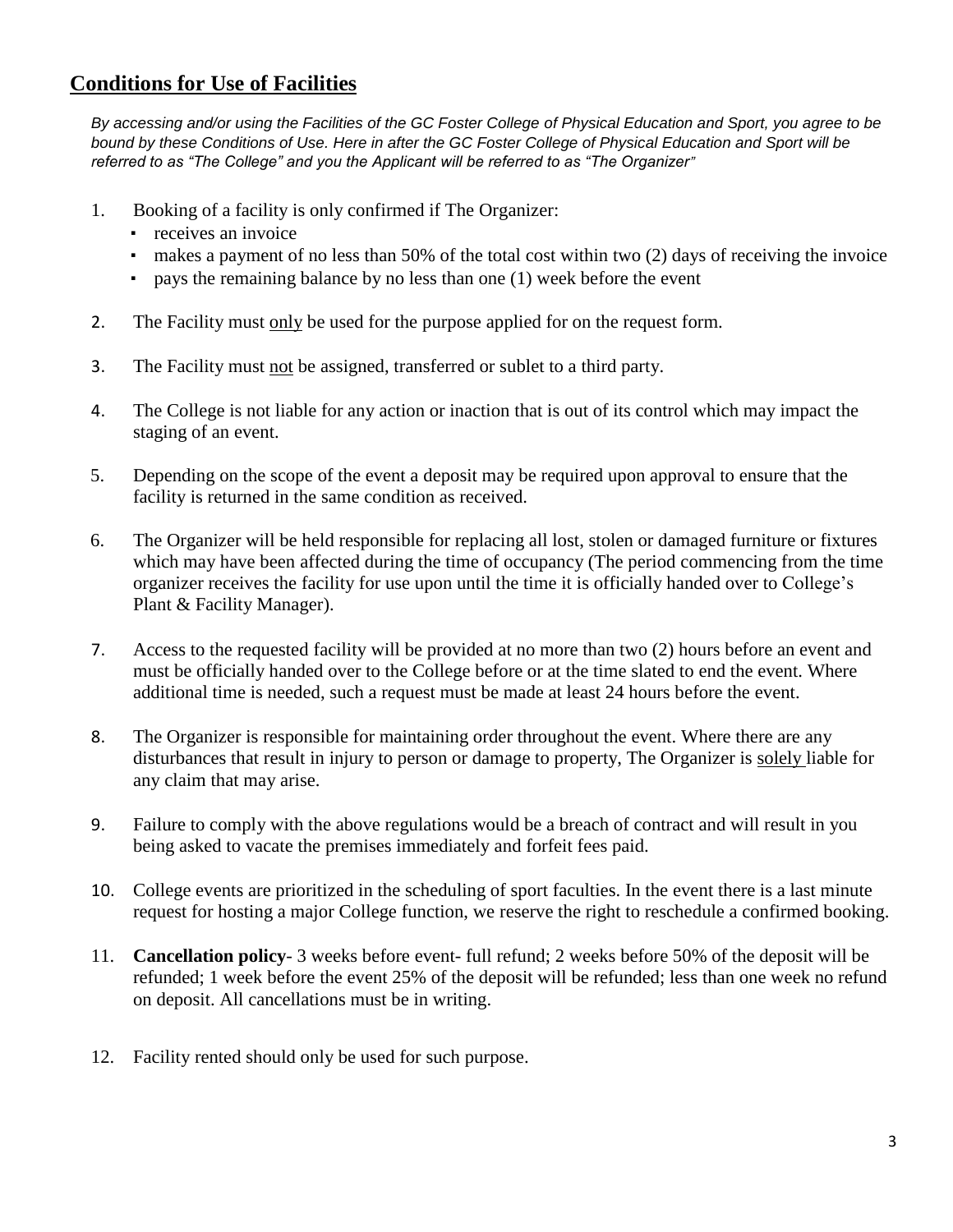## **Conditions for Use of Facilities**

*By accessing and/or using the Facilities of the GC Foster College of Physical Education and Sport, you agree to be bound by these Conditions of Use. Here in after the GC Foster College of Physical Education and Sport will be referred to as "The College" and you the Applicant will be referred to as "The Organizer"*

- 1. Booking of a facility is only confirmed if The Organizer:
	- receives an invoice
	- makes a payment of no less than 50% of the total cost within two (2) days of receiving the invoice
	- pays the remaining balance by no less than one (1) week before the event
- 2. The Facility must only be used for the purpose applied for on the request form.
- 3. The Facility must not be assigned, transferred or sublet to a third party.
- 4. The College is not liable for any action or inaction that is out of its control which may impact the staging of an event.
- 5. Depending on the scope of the event a deposit may be required upon approval to ensure that the facility is returned in the same condition as received.
- 6. The Organizer will be held responsible for replacing all lost, stolen or damaged furniture or fixtures which may have been affected during the time of occupancy (The period commencing from the time organizer receives the facility for use upon until the time it is officially handed over to College's Plant & Facility Manager).
- 7. Access to the requested facility will be provided at no more than two (2) hours before an event and must be officially handed over to the College before or at the time slated to end the event. Where additional time is needed, such a request must be made at least 24 hours before the event.
- 8. The Organizer is responsible for maintaining order throughout the event. Where there are any disturbances that result in injury to person or damage to property, The Organizer is solely liable for any claim that may arise.
- 9. Failure to comply with the above regulations would be a breach of contract and will result in you being asked to vacate the premises immediately and forfeit fees paid.
- 10. College events are prioritized in the scheduling of sport faculties. In the event there is a last minute request for hosting a major College function, we reserve the right to reschedule a confirmed booking.
- 11. **Cancellation policy** 3 weeks before event- full refund; 2 weeks before 50% of the deposit will be refunded; 1 week before the event 25% of the deposit will be refunded; less than one week no refund on deposit. All cancellations must be in writing.
- 12. Facility rented should only be used for such purpose.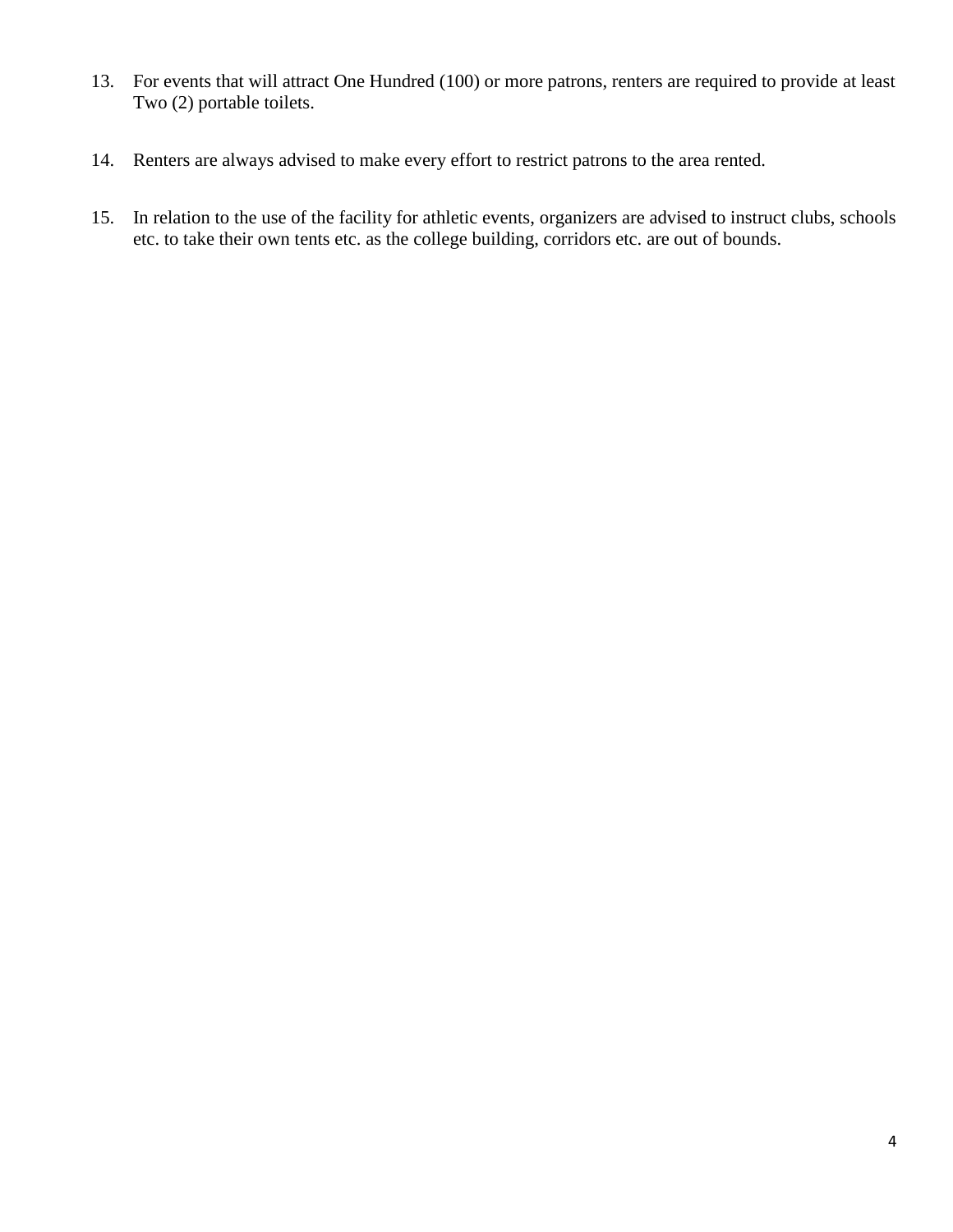- 13. For events that will attract One Hundred (100) or more patrons, renters are required to provide at least Two (2) portable toilets.
- 14. Renters are always advised to make every effort to restrict patrons to the area rented.
- 15. In relation to the use of the facility for athletic events, organizers are advised to instruct clubs, schools etc. to take their own tents etc. as the college building, corridors etc. are out of bounds.